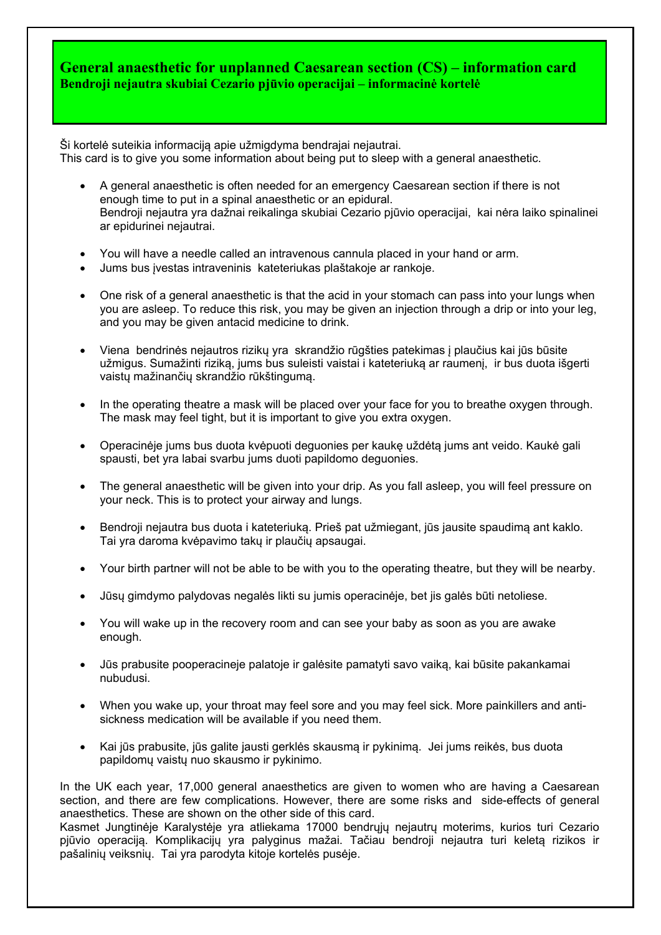## **General anaesthetic for unplanned Caesarean section (CS) – information card Bendroji nejautra skubiai Cezario pjūvio operacijai – informacinė kortelė**

Ši kortelė suteikia informaciją apie užmigdyma bendrajai nejautrai. This card is to give you some information about being put to sleep with a general anaesthetic.

- A general anaesthetic is often needed for an emergency Caesarean section if there is not enough time to put in a spinal anaesthetic or an epidural. Bendroji nejautra yra dažnai reikalinga skubiai Cezario pjūvio operacijai, kai nėra laiko spinalinei ar epidurinei nejautrai.
- You will have a needle called an intravenous cannula placed in your hand or arm.
- Jums bus įvestas intraveninis kateteriukas plaštakoje ar rankoje.
- One risk of a general anaesthetic is that the acid in your stomach can pass into your lungs when you are asleep. To reduce this risk, you may be given an injection through a drip or into your leg, and you may be given antacid medicine to drink.
- Viena bendrinės nejautros rizikų yra skrandžio rūgšties patekimas į plaučius kai jūs būsite užmigus. Sumažinti riziką, jums bus suleisti vaistai i kateteriuką ar raumenį, ir bus duota išgerti vaistų mažinančių skrandžio rūkštingumą.
- In the operating theatre a mask will be placed over your face for you to breathe oxygen through. The mask may feel tight, but it is important to give you extra oxygen.
- Operacinėje jums bus duota kvėpuoti deguonies per kaukę uždėtą jums ant veido. Kaukė gali spausti, bet yra labai svarbu jums duoti papildomo deguonies.
- The general anaesthetic will be given into your drip. As you fall asleep, you will feel pressure on your neck. This is to protect your airway and lungs.
- Bendroji nejautra bus duota i kateteriuką. Prieš pat užmiegant, jūs jausite spaudimą ant kaklo. Tai yra daroma kvėpavimo takų ir plaučių apsaugai.
- Your birth partner will not be able to be with you to the operating theatre, but they will be nearby.
- Jūsų gimdymo palydovas negalės likti su jumis operacinėje, bet jis galės būti netoliese.
- You will wake up in the recovery room and can see your baby as soon as you are awake enough.
- Jūs prabusite pooperacineje palatoje ir galėsite pamatyti savo vaiką, kai būsite pakankamai nubudusi.
- When you wake up, your throat may feel sore and you may feel sick. More painkillers and antisickness medication will be available if you need them.
- Kai jūs prabusite, jūs galite jausti gerklės skausmą ir pykinimą. Jei jums reikės, bus duota papildomų vaistų nuo skausmo ir pykinimo.

In the UK each year, 17,000 general anaesthetics are given to women who are having a Caesarean section, and there are few complications. However, there are some risks and side-effects of general anaesthetics. These are shown on the other side of this card.

Kasmet Jungtinėje Karalystėje yra atliekama 17000 bendrųjų nejautrų moterims, kurios turi Cezario pjūvio operaciją. Komplikacijų yra palyginus mažai. Tačiau bendroji nejautra turi keletą rizikos ir pašalinių veiksnių. Tai yra parodyta kitoje kortelės pusėje.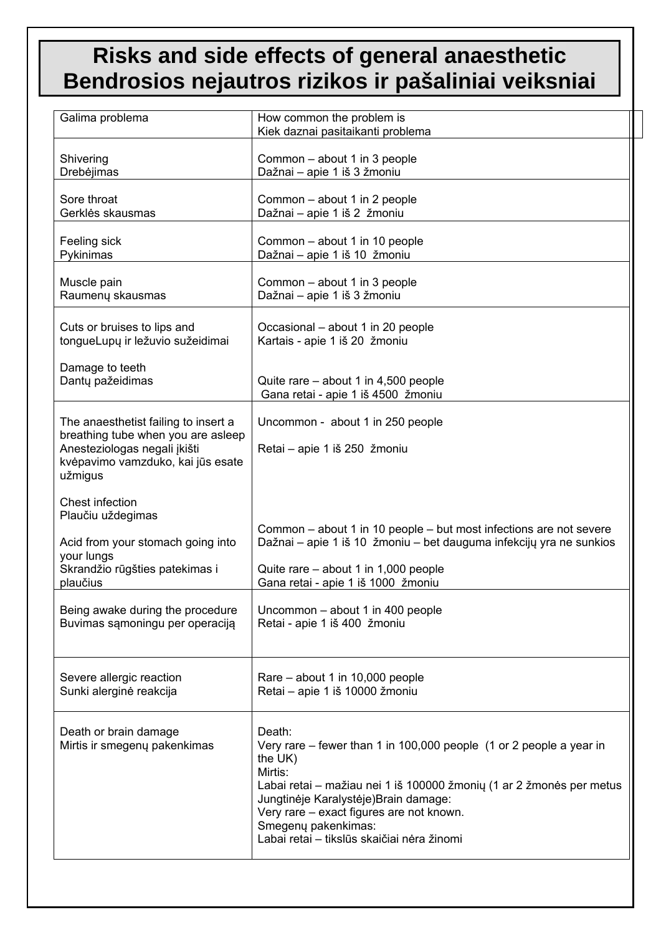## **Risks and side effects of general anaesthetic Bendrosios nejautros rizikos ir pašaliniai veiksniai**

| Galima problema                                                                                                                                            | How common the problem is<br>Kiek daznai pasitaikanti problema                                                                                                                                                                                                                                                                        |
|------------------------------------------------------------------------------------------------------------------------------------------------------------|---------------------------------------------------------------------------------------------------------------------------------------------------------------------------------------------------------------------------------------------------------------------------------------------------------------------------------------|
| Shivering                                                                                                                                                  | Common - about 1 in 3 people                                                                                                                                                                                                                                                                                                          |
| Drebėjimas                                                                                                                                                 | Dažnai - apie 1 iš 3 žmoniu                                                                                                                                                                                                                                                                                                           |
| Sore throat                                                                                                                                                | Common - about 1 in 2 people                                                                                                                                                                                                                                                                                                          |
| Gerklės skausmas                                                                                                                                           | Dažnai - apie 1 iš 2 žmoniu                                                                                                                                                                                                                                                                                                           |
| Feeling sick                                                                                                                                               | Common - about 1 in 10 people                                                                                                                                                                                                                                                                                                         |
| Pykinimas                                                                                                                                                  | Dažnai - apie 1 iš 10 žmoniu                                                                                                                                                                                                                                                                                                          |
| Muscle pain                                                                                                                                                | Common - about 1 in 3 people                                                                                                                                                                                                                                                                                                          |
| Raumenų skausmas                                                                                                                                           | Dažnai - apie 1 iš 3 žmoniu                                                                                                                                                                                                                                                                                                           |
| Cuts or bruises to lips and                                                                                                                                | Occasional – about 1 in 20 people                                                                                                                                                                                                                                                                                                     |
| tongueLupų ir ležuvio sužeidimai                                                                                                                           | Kartais - apie 1 iš 20 žmoniu                                                                                                                                                                                                                                                                                                         |
| Damage to teeth                                                                                                                                            | Quite rare – about 1 in 4,500 people                                                                                                                                                                                                                                                                                                  |
| Dantų pažeidimas                                                                                                                                           | Gana retai - apie 1 iš 4500 žmoniu                                                                                                                                                                                                                                                                                                    |
| The anaesthetist failing to insert a<br>breathing tube when you are asleep<br>Anesteziologas negali įkišti<br>kvėpavimo vamzduko, kai jūs esate<br>užmigus | Uncommon - about 1 in 250 people<br>Retai - apie 1 iš 250 žmoniu                                                                                                                                                                                                                                                                      |
| Chest infection<br>Plaučiu uždegimas<br>Acid from your stomach going into<br>your lungs<br>Skrandžio rūgšties patekimas i<br>plaučius                      | Common – about 1 in 10 people – but most infections are not severe<br>Dažnai – apie 1 iš 10 žmoniu – bet dauguma infekcijų yra ne sunkios<br>Quite rare – about 1 in 1,000 people<br>Gana retai - apie 1 iš 1000 žmoniu                                                                                                               |
| Being awake during the procedure                                                                                                                           | Uncommon - about 1 in 400 people                                                                                                                                                                                                                                                                                                      |
| Buvimas sąmoningu per operaciją                                                                                                                            | Retai - apie 1 iš 400 žmoniu                                                                                                                                                                                                                                                                                                          |
| Severe allergic reaction                                                                                                                                   | Rare - about 1 in 10,000 people                                                                                                                                                                                                                                                                                                       |
| Sunki alerginė reakcija                                                                                                                                    | Retai - apie 1 iš 10000 žmoniu                                                                                                                                                                                                                                                                                                        |
| Death or brain damage<br>Mirtis ir smegenų pakenkimas                                                                                                      | Death:<br>Very rare – fewer than 1 in 100,000 people (1 or 2 people a year in<br>the UK)<br>Mirtis:<br>Labai retai – mažiau nei 1 iš 100000 žmonių (1 ar 2 žmonės per metus<br>Jungtinėje Karalystėje) Brain damage:<br>Very rare - exact figures are not known.<br>Smegenų pakenkimas:<br>Labai retai - tikslūs skaičiai nėra žinomi |